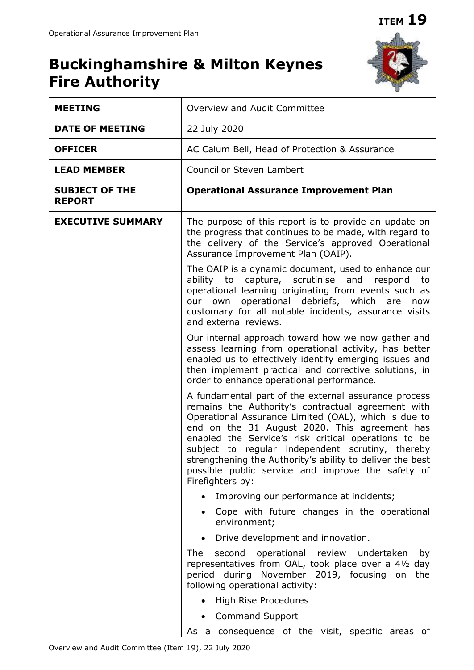## **Buckinghamshire & Milton Keynes Fire Authority**



| <b>MEETING</b>                         | Overview and Audit Committee                                                                                                                                                                                                                                                                                                                                                                                                                                          |  |  |  |  |  |  |  |
|----------------------------------------|-----------------------------------------------------------------------------------------------------------------------------------------------------------------------------------------------------------------------------------------------------------------------------------------------------------------------------------------------------------------------------------------------------------------------------------------------------------------------|--|--|--|--|--|--|--|
| <b>DATE OF MEETING</b>                 | 22 July 2020                                                                                                                                                                                                                                                                                                                                                                                                                                                          |  |  |  |  |  |  |  |
| <b>OFFICER</b>                         | AC Calum Bell, Head of Protection & Assurance                                                                                                                                                                                                                                                                                                                                                                                                                         |  |  |  |  |  |  |  |
| <b>LEAD MEMBER</b>                     | <b>Councillor Steven Lambert</b>                                                                                                                                                                                                                                                                                                                                                                                                                                      |  |  |  |  |  |  |  |
| <b>SUBJECT OF THE</b><br><b>REPORT</b> | <b>Operational Assurance Improvement Plan</b>                                                                                                                                                                                                                                                                                                                                                                                                                         |  |  |  |  |  |  |  |
| <b>EXECUTIVE SUMMARY</b>               | The purpose of this report is to provide an update on<br>the progress that continues to be made, with regard to<br>the delivery of the Service's approved Operational<br>Assurance Improvement Plan (OAIP).                                                                                                                                                                                                                                                           |  |  |  |  |  |  |  |
|                                        | The OAIP is a dynamic document, used to enhance our<br>ability to capture, scrutinise<br>and<br>respond<br>to<br>operational learning originating from events such as<br>our own operational debriefs, which<br>are<br>now<br>customary for all notable incidents, assurance visits<br>and external reviews.                                                                                                                                                          |  |  |  |  |  |  |  |
|                                        | Our internal approach toward how we now gather and<br>assess learning from operational activity, has better<br>enabled us to effectively identify emerging issues and<br>then implement practical and corrective solutions, in<br>order to enhance operational performance.                                                                                                                                                                                           |  |  |  |  |  |  |  |
|                                        | A fundamental part of the external assurance process<br>remains the Authority's contractual agreement with<br>Operational Assurance Limited (OAL), which is due to<br>end on the 31 August 2020. This agreement has<br>enabled the Service's risk critical operations to be<br>subject to regular independent scrutiny, thereby<br>strengthening the Authority's ability to deliver the best<br>possible public service and improve the safety of<br>Firefighters by: |  |  |  |  |  |  |  |
|                                        | Improving our performance at incidents;                                                                                                                                                                                                                                                                                                                                                                                                                               |  |  |  |  |  |  |  |
|                                        | Cope with future changes in the operational<br>environment;                                                                                                                                                                                                                                                                                                                                                                                                           |  |  |  |  |  |  |  |
|                                        | Drive development and innovation.                                                                                                                                                                                                                                                                                                                                                                                                                                     |  |  |  |  |  |  |  |
|                                        | operational<br><b>The</b><br>second<br>review<br>undertaken<br>by<br>representatives from OAL, took place over a 41/2 day<br>period during November 2019, focusing on the<br>following operational activity:                                                                                                                                                                                                                                                          |  |  |  |  |  |  |  |
|                                        | High Rise Procedures                                                                                                                                                                                                                                                                                                                                                                                                                                                  |  |  |  |  |  |  |  |
|                                        | <b>Command Support</b>                                                                                                                                                                                                                                                                                                                                                                                                                                                |  |  |  |  |  |  |  |
|                                        | As a consequence of the visit, specific areas of                                                                                                                                                                                                                                                                                                                                                                                                                      |  |  |  |  |  |  |  |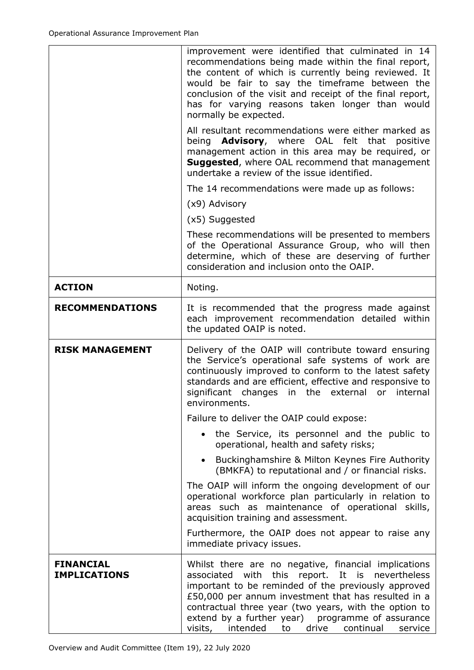|                        | improvement were identified that culminated in 14<br>recommendations being made within the final report,<br>the content of which is currently being reviewed. It<br>would be fair to say the timeframe between the<br>conclusion of the visit and receipt of the final report,<br>has for varying reasons taken longer than would<br>normally be expected. |
|------------------------|------------------------------------------------------------------------------------------------------------------------------------------------------------------------------------------------------------------------------------------------------------------------------------------------------------------------------------------------------------|
|                        | All resultant recommendations were either marked as<br>being <b>Advisory</b> , where OAL felt that<br>positive<br>management action in this area may be required, or<br><b>Suggested, where OAL recommend that management</b><br>undertake a review of the issue identified.                                                                               |
|                        | The 14 recommendations were made up as follows:                                                                                                                                                                                                                                                                                                            |
|                        | (x9) Advisory                                                                                                                                                                                                                                                                                                                                              |
|                        | (x5) Suggested                                                                                                                                                                                                                                                                                                                                             |
|                        | These recommendations will be presented to members<br>of the Operational Assurance Group, who will then<br>determine, which of these are deserving of further<br>consideration and inclusion onto the OAIP.                                                                                                                                                |
| <b>ACTION</b>          | Noting.                                                                                                                                                                                                                                                                                                                                                    |
| <b>RECOMMENDATIONS</b> | It is recommended that the progress made against<br>each improvement recommendation detailed within<br>the updated OAIP is noted.                                                                                                                                                                                                                          |
| <b>RISK MANAGEMENT</b> | Delivery of the OAIP will contribute toward ensuring<br>the Service's operational safe systems of work are<br>continuously improved to conform to the latest safety                                                                                                                                                                                        |
|                        | standards and are efficient, effective and responsive to<br>significant changes in the external or internal<br>environments.                                                                                                                                                                                                                               |
|                        | Failure to deliver the OAIP could expose:                                                                                                                                                                                                                                                                                                                  |
|                        | • the Service, its personnel and the public to<br>operational, health and safety risks;                                                                                                                                                                                                                                                                    |
|                        | Buckinghamshire & Milton Keynes Fire Authority<br>$\bullet$<br>(BMKFA) to reputational and / or financial risks.                                                                                                                                                                                                                                           |
|                        | The OAIP will inform the ongoing development of our<br>operational workforce plan particularly in relation to<br>areas such as maintenance of operational skills,<br>acquisition training and assessment.                                                                                                                                                  |
|                        | Furthermore, the OAIP does not appear to raise any<br>immediate privacy issues.                                                                                                                                                                                                                                                                            |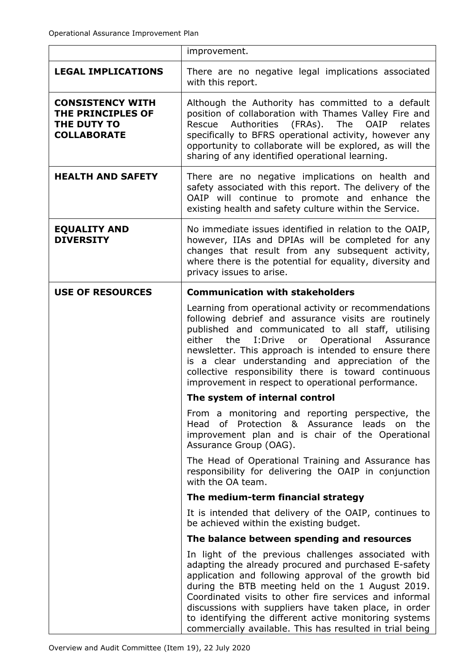|                                                                                   | improvement.                                                                                                                                                                                                                                                                                                                                                                                                                                                      |  |  |  |  |
|-----------------------------------------------------------------------------------|-------------------------------------------------------------------------------------------------------------------------------------------------------------------------------------------------------------------------------------------------------------------------------------------------------------------------------------------------------------------------------------------------------------------------------------------------------------------|--|--|--|--|
| <b>LEGAL IMPLICATIONS</b>                                                         | There are no negative legal implications associated<br>with this report.                                                                                                                                                                                                                                                                                                                                                                                          |  |  |  |  |
| <b>CONSISTENCY WITH</b><br>THE PRINCIPLES OF<br>THE DUTY TO<br><b>COLLABORATE</b> | Although the Authority has committed to a default<br>position of collaboration with Thames Valley Fire and<br>Authorities<br>(FRAs).<br>The<br><b>OAIP</b><br>relates<br>Rescue<br>specifically to BFRS operational activity, however any<br>opportunity to collaborate will be explored, as will the<br>sharing of any identified operational learning.                                                                                                          |  |  |  |  |
| <b>HEALTH AND SAFETY</b>                                                          | There are no negative implications on health and<br>safety associated with this report. The delivery of the<br>OAIP will continue to promote and enhance the<br>existing health and safety culture within the Service.                                                                                                                                                                                                                                            |  |  |  |  |
| <b>EQUALITY AND</b><br><b>DIVERSITY</b>                                           | No immediate issues identified in relation to the OAIP,<br>however, IIAs and DPIAs will be completed for any<br>changes that result from any subsequent activity,<br>where there is the potential for equality, diversity and<br>privacy issues to arise.                                                                                                                                                                                                         |  |  |  |  |
| <b>USE OF RESOURCES</b>                                                           | <b>Communication with stakeholders</b>                                                                                                                                                                                                                                                                                                                                                                                                                            |  |  |  |  |
|                                                                                   | Learning from operational activity or recommendations<br>following debrief and assurance visits are routinely<br>published and communicated to all staff, utilising<br>I:Drive<br>or Operational Assurance<br>either<br>the<br>newsletter. This approach is intended to ensure there<br>is a clear understanding and appreciation of the<br>collective responsibility there is toward continuous<br>improvement in respect to operational performance.            |  |  |  |  |
|                                                                                   | The system of internal control                                                                                                                                                                                                                                                                                                                                                                                                                                    |  |  |  |  |
|                                                                                   | From a monitoring and reporting perspective, the<br>Head<br>of Protection & Assurance leads<br>the<br>on<br>improvement plan and is chair of the Operational<br>Assurance Group (OAG).                                                                                                                                                                                                                                                                            |  |  |  |  |
|                                                                                   | The Head of Operational Training and Assurance has<br>responsibility for delivering the OAIP in conjunction<br>with the OA team.                                                                                                                                                                                                                                                                                                                                  |  |  |  |  |
|                                                                                   | The medium-term financial strategy                                                                                                                                                                                                                                                                                                                                                                                                                                |  |  |  |  |
|                                                                                   | It is intended that delivery of the OAIP, continues to<br>be achieved within the existing budget.                                                                                                                                                                                                                                                                                                                                                                 |  |  |  |  |
|                                                                                   | The balance between spending and resources                                                                                                                                                                                                                                                                                                                                                                                                                        |  |  |  |  |
|                                                                                   | In light of the previous challenges associated with<br>adapting the already procured and purchased E-safety<br>application and following approval of the growth bid<br>during the BTB meeting held on the 1 August 2019.<br>Coordinated visits to other fire services and informal<br>discussions with suppliers have taken place, in order<br>to identifying the different active monitoring systems<br>commercially available. This has resulted in trial being |  |  |  |  |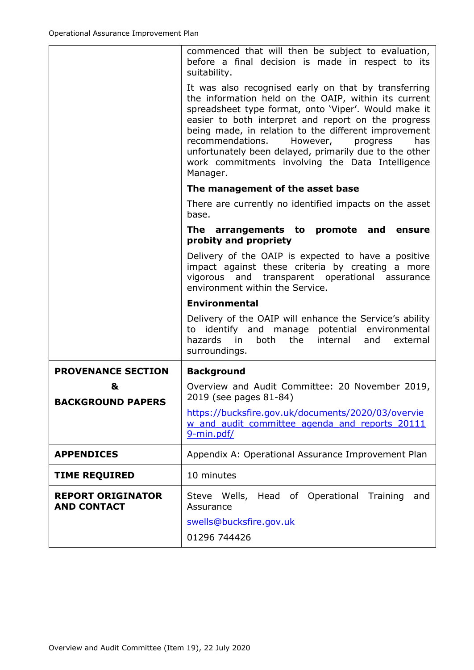|                                                | commenced that will then be subject to evaluation,<br>before a final decision is made in respect to its<br>suitability.                                                                                                                                                                                                                                                                                                                                          |  |  |  |  |
|------------------------------------------------|------------------------------------------------------------------------------------------------------------------------------------------------------------------------------------------------------------------------------------------------------------------------------------------------------------------------------------------------------------------------------------------------------------------------------------------------------------------|--|--|--|--|
|                                                | It was also recognised early on that by transferring<br>the information held on the OAIP, within its current<br>spreadsheet type format, onto 'Viper'. Would make it<br>easier to both interpret and report on the progress<br>being made, in relation to the different improvement<br>recommendations.<br>However,<br>progress<br>has<br>unfortunately been delayed, primarily due to the other<br>work commitments involving the Data Intelligence<br>Manager. |  |  |  |  |
|                                                | The management of the asset base                                                                                                                                                                                                                                                                                                                                                                                                                                 |  |  |  |  |
|                                                | There are currently no identified impacts on the asset<br>base.                                                                                                                                                                                                                                                                                                                                                                                                  |  |  |  |  |
|                                                | The arrangements to promote and ensure<br>probity and propriety                                                                                                                                                                                                                                                                                                                                                                                                  |  |  |  |  |
|                                                | Delivery of the OAIP is expected to have a positive<br>impact against these criteria by creating a more<br>vigorous and transparent operational assurance<br>environment within the Service.                                                                                                                                                                                                                                                                     |  |  |  |  |
|                                                | <b>Environmental</b>                                                                                                                                                                                                                                                                                                                                                                                                                                             |  |  |  |  |
|                                                |                                                                                                                                                                                                                                                                                                                                                                                                                                                                  |  |  |  |  |
|                                                | Delivery of the OAIP will enhance the Service's ability<br>to identify and manage potential environmental<br>hazards<br>in in<br>both<br>the<br>internal<br>external<br>and<br>surroundings.                                                                                                                                                                                                                                                                     |  |  |  |  |
| <b>PROVENANCE SECTION</b>                      | <b>Background</b>                                                                                                                                                                                                                                                                                                                                                                                                                                                |  |  |  |  |
| &                                              | Overview and Audit Committee: 20 November 2019,<br>2019 (see pages 81-84)                                                                                                                                                                                                                                                                                                                                                                                        |  |  |  |  |
| <b>BACKGROUND PAPERS</b>                       | https://bucksfire.gov.uk/documents/2020/03/overvie<br>w and audit committee agenda and reports 20111<br>9-min.pdf/                                                                                                                                                                                                                                                                                                                                               |  |  |  |  |
| <b>APPENDICES</b>                              | Appendix A: Operational Assurance Improvement Plan                                                                                                                                                                                                                                                                                                                                                                                                               |  |  |  |  |
| <b>TIME REQUIRED</b>                           | 10 minutes                                                                                                                                                                                                                                                                                                                                                                                                                                                       |  |  |  |  |
| <b>REPORT ORIGINATOR</b><br><b>AND CONTACT</b> | Steve Wells, Head of Operational<br>Training<br>and<br>Assurance<br>swells@bucksfire.gov.uk<br>01296 744426                                                                                                                                                                                                                                                                                                                                                      |  |  |  |  |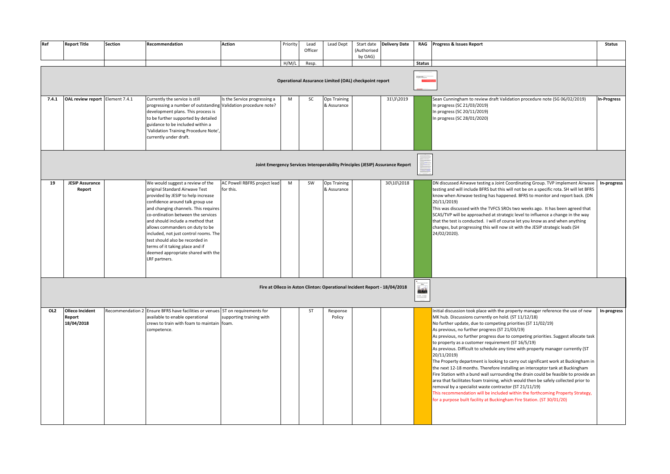| Ref   | <b>Report Title</b>                            | <b>Section</b> | Recommendation                                                                                                                                                                                                                                                                                                                                                                                                                                                          | Action                                    | Priority | Lead<br>Officer | Lead Dept                                                                 | (Authorised<br>by OAG) | Start date   Delivery Date                                                    |                                                                                                                                                                                                                                                                                                                                                                                                                                                             | RAG Progress & Issues Report                                                                                                                                                                                                                                                                                                                                                                                                                                                                                                                                                                                                                                                                                                                                                                                                                                                                                                                                                                                                                                                       | <b>Status</b> |
|-------|------------------------------------------------|----------------|-------------------------------------------------------------------------------------------------------------------------------------------------------------------------------------------------------------------------------------------------------------------------------------------------------------------------------------------------------------------------------------------------------------------------------------------------------------------------|-------------------------------------------|----------|-----------------|---------------------------------------------------------------------------|------------------------|-------------------------------------------------------------------------------|-------------------------------------------------------------------------------------------------------------------------------------------------------------------------------------------------------------------------------------------------------------------------------------------------------------------------------------------------------------------------------------------------------------------------------------------------------------|------------------------------------------------------------------------------------------------------------------------------------------------------------------------------------------------------------------------------------------------------------------------------------------------------------------------------------------------------------------------------------------------------------------------------------------------------------------------------------------------------------------------------------------------------------------------------------------------------------------------------------------------------------------------------------------------------------------------------------------------------------------------------------------------------------------------------------------------------------------------------------------------------------------------------------------------------------------------------------------------------------------------------------------------------------------------------------|---------------|
|       |                                                |                |                                                                                                                                                                                                                                                                                                                                                                                                                                                                         |                                           | H/M/L    | Resp.           | Operational Assurance Limited (OAL) checkpoint report                     |                        |                                                                               | <b>Status</b><br>.<br>Konsegeracija<br>Fragmen Chenkpolet                                                                                                                                                                                                                                                                                                                                                                                                   |                                                                                                                                                                                                                                                                                                                                                                                                                                                                                                                                                                                                                                                                                                                                                                                                                                                                                                                                                                                                                                                                                    |               |
| 7.4.1 | OAL review report Element 7.4.1                |                | Currently the service is still<br>progressing a number of outstanding Validation procedure note?<br>development plans. This process is<br>to be further supported by detailed<br>guidance to be included within a<br>'Validation Training Procedure Note',<br>currently under draft.                                                                                                                                                                                    | Is the Service progressing a              | M        | SC              | <b>Ops Training</b><br>& Assurance                                        |                        | 31\3\2019                                                                     |                                                                                                                                                                                                                                                                                                                                                                                                                                                             | Sean Cunningham to review draft Validation procedure note (SG 06/02/2019)<br>In progress (SC 21/03/2019)<br>In progress (SC 20/11/2019)<br>In progress (SC 28/01/2020)                                                                                                                                                                                                                                                                                                                                                                                                                                                                                                                                                                                                                                                                                                                                                                                                                                                                                                             | In-Progre     |
|       |                                                |                |                                                                                                                                                                                                                                                                                                                                                                                                                                                                         |                                           |          |                 |                                                                           |                        | Joint Emergency Services Interoperability Principles (JESIP) Assurance Report |                                                                                                                                                                                                                                                                                                                                                                                                                                                             |                                                                                                                                                                                                                                                                                                                                                                                                                                                                                                                                                                                                                                                                                                                                                                                                                                                                                                                                                                                                                                                                                    |               |
| -19   | <b>JESIP Assurance</b><br>Report               |                | We would suggest a review of the<br>original Standard Airwave Test<br>provided by JESIP to help increase<br>confidence around talk group use<br>and changing channels. This requires<br>co-ordination between the services<br>and should include a method that<br>allows commanders on duty to be<br>included, not just control rooms. The<br>test should also be recorded in<br>terms of it taking place and if<br>deemed appropriate shared with the<br>LRF partners. | AC Powell RBFRS project lead<br>for this. | M        | SW              | <b>Ops Training</b><br>& Assurance                                        |                        | 30\10\2018                                                                    |                                                                                                                                                                                                                                                                                                                                                                                                                                                             | DN discussed Airwave testing a Joint Coordinating Group. TVP implement Airwave<br>testing and will include BFRS but this will not be on a specific rota. SH will let BFRS<br>know when Airwave testing has happened. BFRS to monitor and report back. (DN<br>20/11/2019)<br>This was discussed with the TVFCS SROs two weeks ago. It has been agreed that<br>SCAS/TVP will be approached at strategic level to influence a change in the way<br>that the test is conducted. I will of course let you know as and when anything<br>changes, but progressing this will now sit with the JESIP strategic leads (SH<br>24/02/2020).                                                                                                                                                                                                                                                                                                                                                                                                                                                    | In-progr      |
|       |                                                |                |                                                                                                                                                                                                                                                                                                                                                                                                                                                                         |                                           |          |                 | Fire at Olleco in Aston Clinton: Operational Incident Report - 18/04/2018 |                        |                                                                               | Lak<br>無い<br>$\begin{tabular}{l c c c c} $\rho_1(\mathbf{x})$ & $\mathbf{1} \mathbf{1}$ & $\mathbf{1} \mathbf{1}$ & $\mathbf{1} \mathbf{1} \mathbf{1}$ & $\mathbf{1} \mathbf{1} \mathbf{1}$ & $\mathbf{1} \mathbf{1} \mathbf{1}$ & $\mathbf{1} \mathbf{1} \mathbf{1}$ & $\mathbf{1} \mathbf{1} \mathbf{1}$ & $\mathbf{1} \mathbf{1} \mathbf{1}$ & $\mathbf{1} \mathbf{1} \mathbf{1}$ & $\mathbf{1} \mathbf{1} \mathbf{1} \mathbf{1}$ & $\mathbf{1} \mathbf$ |                                                                                                                                                                                                                                                                                                                                                                                                                                                                                                                                                                                                                                                                                                                                                                                                                                                                                                                                                                                                                                                                                    |               |
| OL2   | <b>Olleco Incident</b><br>Report<br>18/04/2018 |                | Recommendation 2 Ensure BFRS have facilities or venues ST on requirements for<br>available to enable operational<br>crews to train with foam to maintain foam.<br>competence.                                                                                                                                                                                                                                                                                           | supporting training with                  |          | ST              | Response<br>Policy                                                        |                        |                                                                               |                                                                                                                                                                                                                                                                                                                                                                                                                                                             | Initial discussion took place with the property manager reference the use of new<br>MK hub. Discussions currently on hold. (ST 11/12/18)<br>No further update, due to competing priorities (ST 11/02/19)<br>As previous, no further progress (ST 21/03/19)<br>As previous, no further progress due to competing priorities. Suggest allocate task<br>to property as a customer requirement (ST 16/5/19)<br>As previous. Difficult to schedule any time with property manager currently (ST<br>20/11/2019)<br>The Property department is looking to carry out significant work at Buckingham in<br>the next 12-18 months. Therefore installing an interceptor tank at Buckingham<br>Fire Station with a bund wall surrounding the drain could be feasible to provide an<br>area that facilitates foam training, which would then be safely collected prior to<br>removal by a specialist waste contractor (ST 21/11/19)<br>This recommendation will be included within the forthcoming Property Strategy,<br>for a purpose built facility at Buckingham Fire Station. (ST 30/01/20) | In-progr      |

| Progress & Issues Report                                                                                                                                                                                                                                                                                                                                                                                                                                                                                                                                                                                                                                                                                                                                                                                                                                                                                                                                                                                                                                                           | Status             |
|------------------------------------------------------------------------------------------------------------------------------------------------------------------------------------------------------------------------------------------------------------------------------------------------------------------------------------------------------------------------------------------------------------------------------------------------------------------------------------------------------------------------------------------------------------------------------------------------------------------------------------------------------------------------------------------------------------------------------------------------------------------------------------------------------------------------------------------------------------------------------------------------------------------------------------------------------------------------------------------------------------------------------------------------------------------------------------|--------------------|
|                                                                                                                                                                                                                                                                                                                                                                                                                                                                                                                                                                                                                                                                                                                                                                                                                                                                                                                                                                                                                                                                                    |                    |
|                                                                                                                                                                                                                                                                                                                                                                                                                                                                                                                                                                                                                                                                                                                                                                                                                                                                                                                                                                                                                                                                                    |                    |
| Sean Cunningham to review draft Validation procedure note (SG 06/02/2019)<br>In progress (SC 21/03/2019)<br>In progress (SC 20/11/2019)<br>In progress (SC 28/01/2020)                                                                                                                                                                                                                                                                                                                                                                                                                                                                                                                                                                                                                                                                                                                                                                                                                                                                                                             | <b>In-Progress</b> |
|                                                                                                                                                                                                                                                                                                                                                                                                                                                                                                                                                                                                                                                                                                                                                                                                                                                                                                                                                                                                                                                                                    |                    |
| DN discussed Airwave testing a Joint Coordinating Group. TVP implement Airwave<br>testing and will include BFRS but this will not be on a specific rota. SH will let BFRS<br>know when Airwave testing has happened. BFRS to monitor and report back. (DN<br>20/11/2019)<br>This was discussed with the TVFCS SROs two weeks ago. It has been agreed that<br>SCAS/TVP will be approached at strategic level to influence a change in the way<br>that the test is conducted. I will of course let you know as and when anything<br>changes, but progressing this will now sit with the JESIP strategic leads (SH<br>24/02/2020).                                                                                                                                                                                                                                                                                                                                                                                                                                                    | In-progress        |
|                                                                                                                                                                                                                                                                                                                                                                                                                                                                                                                                                                                                                                                                                                                                                                                                                                                                                                                                                                                                                                                                                    |                    |
| Initial discussion took place with the property manager reference the use of new<br>MK hub. Discussions currently on hold. (ST 11/12/18)<br>No further update, due to competing priorities (ST 11/02/19)<br>As previous, no further progress (ST 21/03/19)<br>As previous, no further progress due to competing priorities. Suggest allocate task<br>to property as a customer requirement (ST 16/5/19)<br>As previous. Difficult to schedule any time with property manager currently (ST<br>20/11/2019)<br>The Property department is looking to carry out significant work at Buckingham in<br>the next 12-18 months. Therefore installing an interceptor tank at Buckingham<br>Fire Station with a bund wall surrounding the drain could be feasible to provide an<br>area that facilitates foam training, which would then be safely collected prior to<br>removal by a specialist waste contractor (ST 21/11/19)<br>This recommendation will be included within the forthcoming Property Strategy,<br>for a purpose built facility at Buckingham Fire Station. (ST 30/01/20) | In-progress        |